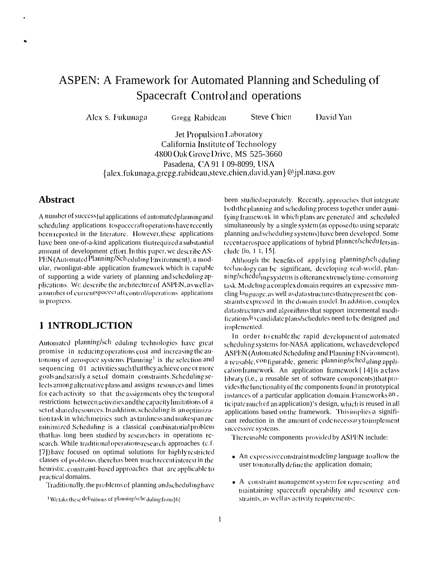# **ASPEN: A Framework for Automated Planning and Scheduling of Spacecraft Control and operations**

Alex S. Fukunaga

Gregg Rabidcau

**Steve Chien** 

David Yan

Jet Propulsion Laboratory California Institute of Technology 4800 Oak Grove Drive, MS 525-3660 Pasadena, CA 91 I 09-8099, USA {alex.fukunaga,gregg.rabideau,steve.chien,david.yan {@jpl.nasa.gov

# **Abstract**

A number of successful applications of automated planning and scheduling applications tospacecraft operations have recently been reported in the literature. However, these applications have been one-of-a-kind applications that required a substantial amount of development effort. In this paper, we describe AS-PEN (Automated Planning/Sch eduling Environment), a modular, rwonligut-able application framework which is capable of supporting a wide variety of planning and scheduling applications. We describe the architecture of ASPEN, as well as a number of current spaceci aft control/operations applications in progress.

# 1 1NTRODLJCTION

Automated planning/sch eduling technologies have great promise in reducing operations cost and increasing the autonomy of aerospace systems. Planning<sup>1</sup> is the selection and sequencing 01 activities such that they achieve one or more goals and satisfy a set of domain constraints. Scheduling selects among alternative plans and assigns resources and limes for each activity so that the assignments obey the temporal restrictions between activities and the capacity limitations of a set of shared resources. In addition, scheduling is an optimization task in which metrics such as tardiness and makespan are minimized Scheduling is a classical combinatorial problem that has long been studied by researchers in operations research. While traditional operations research approaches (c.f. [7]) have focused on optimal solutions for highly restricted classes of problems, there has been much recent interest in the heuristic, constraint-based approaches that are applicable to practical domains.

Traditionally, the problems of planning and scheduling have

been studied separately. Recently, approaches that integrate both the planning and scheduling process together under a unifying framework in which plans are generated and scheduled simultaneously by a single system (as opposed to using separate planning and scheduling systems) have been developed. Some recent aerospace applications of hybrid planner/schedulers include [lo, I 1, 15].

Although tbe benefits of applying planning/sch eduling technology can be significant, developing real-world, planning/schedul<sub>ing systems</sub> is often anextremely time-consuming task. Modeling a complex domain requires an expressive mmcling language, as well as datastructures that represent tbe constraints expressed in the domain model. In addition, complex data structures and algorithms that support incremental modifications <sup>to</sup> candidate plans/schedules need to be designed and implemented.

In order to enable the rapid development of automated scheduling systems for-NASA applications, we have developed ASPEN (Automated Scheduling and Planning ENvironment), a reusable, configurable, generic planning/sched uling application framework. An application framework [14] is a class library (i.e., a reusable set of software components) that provides the functionality of the components found in prototypical instances of a particular application domain. Frameworks an ticipate much of an application)'s design, which is reused in all applications based on the framework. This implies a significant reduction in the amount of code necessary to implement successive systems.

The reusable components provided by ASPEN include:

- $\bullet$  An expressive constraint modeling language to allow the user to naturally define the application domain;
- $\bullet$  A constraint management system for representing and maintaining spacecraft operability and resource constraints, as well as activity requirements;

<sup>&</sup>lt;sup>1</sup>We take these definitions of planning/sche duling from [6]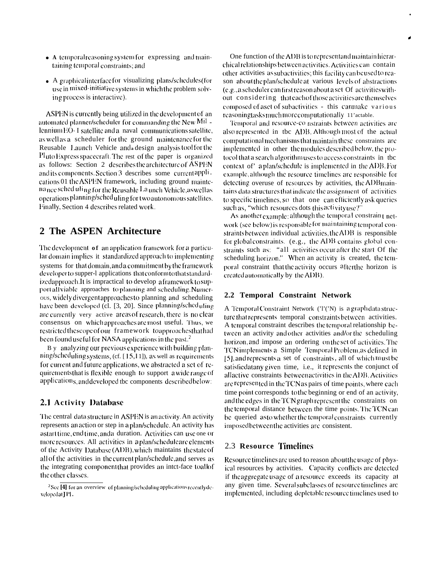- A temporal reasoning system for expressing and maintaining temporal constraints; and
- A graphical interface for visualizing plans/schedules (for use in mixed-initiative systems in which the problem solving process is interactive).

ASPEN is currently being utilized in the development of an automated planner/scheduler for commanding the New Mil lennium EO-I satellite and a naval communications satellite, as well as a scheduler for the ground maintenance for the Reusable Launch Vehicle and design analysis tool for the Pluto Express spacecraft. The rest of the paper is organized as follows: Section 2 describes the architecture of ASPEN and its components. Section 3 describes some current applications 01 the ASPEN framework, including ground maintenance scheduling for the Reusable Launch Vehicle, as well as operations planning/sched uling for two autonomous satellites. Finally, Section 4 describes related work.

# 2 The ASPEN Architecture

The development of an application framework for a particular domain implies it standardized approach to implementing systems for that domain, and a commitment by the framework developer to supper-1 applications that conform to that standardizedapproach. It is impractical to develop a framework to supportall viable approaches to planning and scheduling. Numerous, widely divergent approaches to planning and scheduling have been developed (cl. [3, 20]. Since planning/sched uling are currently very active areas of research, there is no clear consensus on which approaches are most useful. Thus, we restricted the scope of our framework to approaches that had been found useful for NASA applications in the past.<sup>2</sup>

By analyzing our previous experience with building planning/scheduling systems, (cf.  $[15,11]$ ), as well as requirements for current and future applications, we abstracted a set of requirements that is flexible enough to support a wide range of applications, and developed tbc components described below:

### 2.1 Activity Database

The central data structure in ASPEN is an activity. An activity represents an action or step in a plan/schedule. An activity has astart time, end time, and a duration. Activities can use one or more resources. All activities in a plan/schedule are elements of the Activity Database (ADB), which maintains the state of all of the activities in the current plan/schedule, and serves as the integrating component that provides an intet-face toallof the other classes.

One function of the ADB is to representand maintain hierarchical relationships between activities. Activities can contain other activities as subactivities; this facility can be used to reason about the plan/schedule at various levels of abstractions (e.g., a scheduler can first reason about a set Of activities without considering that each of those activities are themselves composed of a set of subactivities - this can make various reasoningtasks much more computationally 11'actable.

Temporal and resource-co nstraints between activities are also represented in the ADB. Although most of the actual computational mechanisms that maintain these constraints are implemented in other the modules described below, the protocol that a search algorithm uses to access constraints in the context of a plan/schedule is implemented in the ADB. For example, although the resource timelines are responsible for detecting overuse of resources by activities, the ADBmaintains data structures that indicate the assignment of activities to specific timelines, so that one can efficiently ask queries such as, "which resources dots this activity use?"

As another example; although the temporal constraint network (see below) is responsible for maintaining temporal constraints between individual activities, the ADB is responsible for global constraints. (e.g., the ADB contains global constraints such as: "all activities occur after the start Of the scheduling horizon." When an activity is created, the temporal constraint that the activity occurs after the horizon is created automatically by the ADB).

### 2.2 Temporal Constraint Network

A Temporal Constraint Network (T('N) is a graph data structure that represents temporal constraints between activities. A temporal constraint describes the temporal relationship between an activity and other activities and/or the scheduling horizon, and impose an ordering on the set of activities. The TCN implements a Simple Temporal Problem, as defined in [5], and represents a set of constraints, all of which must be satisfiedatany given time, i.e., it represents the conjunct of allactive constraints between activities in the ADB. Activities are represented in the TCN as pairs of time points, where each time point corresponds to the beginning or end of an activity, and the edges in the TCN graph represent the constraints on the temporal distance between the time points. The TCN can be queried asto whether the temporal constraints currently imposed between the activities are consistent.

### 2.3 Resource Timelines

Resource timelines are used to reason about the usage of physical resources by activities. Capacity conflicts are detected if the aggregate usage of a resource exceeds its capacity at any given time. Several subclasses of resource timelines are implemented, including depletable resource timelines used to

<sup>&</sup>lt;sup>2</sup>See [4] for an overview of planning/scheduling applications recently developedatJPL.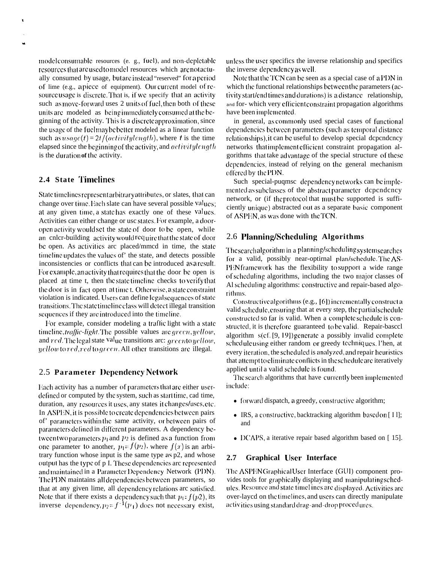model consumable resources (e. g., fuel), and non-depletable resources that are used to model resources which are not actually consumed by usage, but are instead "reserved" for a period of lime (e.g., apiece of equipment). Our current model of resource usage is discrete. That is, if we specify that an activity such as move-forward uses 2 units of fuel, then both of these units are modeled as being immediately consumed at the beginning of the activity. This is a discrete approximation, since the usage of the fuclmaybe better modeled as a linear function such as  $usage(t) = 2t / (actually length)$ , where t is the time elapsed since the beginning of the activity, and activitylength is the duration of the activity.

### 2.4 State Timelines

State timelines represent arbitrary attributes, or slates, that can change over time. Each slate can have several possible values; at any given time, a state has exactly one of these values. Activities can either change or usc states. For example, a dooropen activity would set the state of door to be open, while an enter-building activity would require that the state of door be open. As activities are placed/mmcd in time, the state timeline updates the values of the state, and detects possible inconsistencies or conflicts that can be introduced as a result. For example, an activity that requires that the door be open is placed at time t, then the state timeline checks to verify that the door is in fact open at time t. Otherwise, a state constraint violation is indicated. Users can define legal sequences of state transitions. The state timeline class will detect illegal transition sequences if they are introduced into the timeline.

For example, consider modeling a traffic light with a state timeline, traffic-light. The possible values are green, yellow, and red. The legal state value transitions are: *greento vellow*, yellowtored, red to green. All other transitions are illegal.

### 2.5 Parameter Dependency Network

Each activity has a number of parameters that are either userdefined or computed by the system, such as start time, cad time, duration, any resources it uses, any states it changes/uses, etc. In ASPEN, it is possible to create dependencies between pairs of' parameters within the same activity, or between pairs of parameters defined in different parameters. A dependency between two parameters  $p_1$  and  $p_2$  is defined as a function from one parameter to another,  $p_1 = f(p_2)$ , where  $f(x)$  is an arbitrary function whose input is the same type as p2, and whose output has the type of p I. These dependencies are represented and maintained in a Parameter Dependency Network (PDN). The PDN maintains all dependencies between parameters, so that at any given lime, all dependency relations are satisfied. Note that if there exists a dependency such that  $p_1 = f(p2)$ , its inverse dependency,  $p_2 = f^{-1}(p_1)$  does not necessary exist,

unless the user specifics the inverse relationship and specifics the inverse dependency as well.

Note that the TCN can be seen as a special case of a PDN in which the functional relationships between the parameters (activity start/end times and durations) is a distance relationship. and for-which very efficient constraint propagation algorithms have been implemented.

in general, as commonly used special cases of functional dependencies between parameters (such as temporal distance relationships), it can be useful to develop special dependency networks that implement efficient constraint propagation algorithms that take advantage of the special structure of these dependencies, instead of relying on the general mechanism offered by the PDN.

Such special-puqmsc dependency networks can be implemented as subclasses of the abstract parameter dependency network, or (if the protocol that must be supported is sufficiently unique) abstracted out as a separate basic component of ASPEN, as was done with the TCN.

### 2.6 Planning/Scheduling Algorithms

The search algorithm in a planning/scheduling system searches for a valid, possibly near-optirnal plan/schedule. The AS-PEN framework has the flexibility to support a wide range of scheduling algorithms, including the two major classes of Al scheduling algorithms: constructive and repair-based algorithms.

Constructive algorithms (e.g., [6]) incrementally construct a valid schedule, ensuring that at every step, the partial schedule constructed so far is valid. When a complete schedule is constructed, it is therefore guaranteed to be valid. Repair-bascel algorithm  $s(cf. [9, 19])$  generate a possibly invalid complete schedule using either random or greedy techniques. I'hen, at every iteration, the scheduled is analyzed, and repair heuristics that attempt to eliminate conflicts in the schedule are iteratively applied until a valid schedule is found.

The search algorithms that have currently been implemented include:

- forward dispatch, a greedy, constructive algorithm;
- IRS, a constructive, backtracking algorithm based on [II]; and
- DCAPS, a iterative repair based algorithm based on [15].

#### $2.7$ **Graphical User Interface**

The ASPEN Graphical User Interface (GUI) component provides tools for graphically displaying and manipulatingschedules. Resource and state timelines are displayed. Activities are over-layed on the timelines, and users can directly manipulate activities using standard drag-and-drop procedures.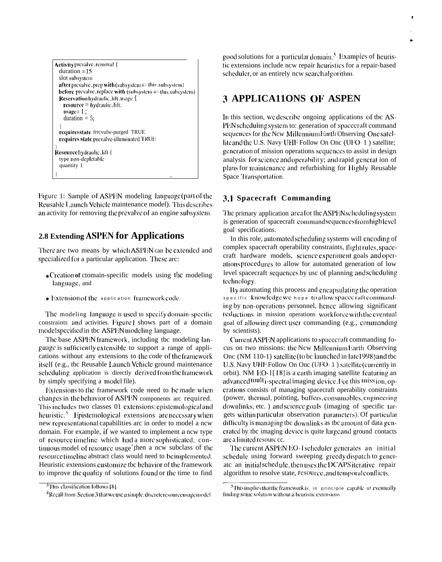

Figure 1: Sample of ASPEN modeling language (part of the Reusable Launch Vehicle maintenance model). This describes an activity for removing the prevalve of an engine subsystem.

# 2.8 Extending ASPEN for Applications

There are two means by which ASPEN can be extended and specialized for a particular application. These arc:

- Creation of ctomain-specific models using the modeling language, and
- Extension of the application framework code.

The modeling language is used to specify domain-specific constraints and activities. Figure I shows part of a domain model specified in the ASPEN modeling language.

The base ASPEN framework, including tbc modeling language is sufficiently extensible to support a range of applications without any extensions to the code of the framework itself (e.g., tbc Reusable Launch Vehicle ground maintenance scheduling application is directly derived from the framework by simply specifying a model file).

Extensions to the framework code need to be made when changes in the behavior of ASPEN components arc required. This includes two classes 01 extensions; epistemological and heuristic.<sup>3</sup> Epistemological extensions are necessary when new representational capabilities arc in order to model a new domain. For example, if we wanted to implement a ncw type of resource timeline which had a more sophisticated, continuous model of resource usage<sup>4</sup> then a new subclass of the resource timeline abstract class would need to be implemented. Heuristic extensions customize tbc behavior of the framework to improve the quality of solutions found or the time to find

good solutions for a particular domain.<sup>5</sup> Examples of heuristic extensions include new repair heuristics for a repair-based scheduler, or an entirely new search algorithm.

# **3 APPLICA11ONS OF ASPEN**

In this section, we describe ongoing applications of tbc AS-PEN scheduling system to: generation of spacecraft command sequences for the New Millennium Earth Observing One satellite and the U.S. Navy UHF Follow On Onc (UFO-1) satellite; generation of mission operations sequences to assist in design analysis for science and operability; and rapid generation of plans for maintenance and refurbishing for Highly Reusable Space Transportation.

### 3.1 Spacecraft Commanding

The primary application area for the ASPEN scheduling system is generation of spacecraft commandsequences from high level goal specifications.

In this role, automated scheduling systems will encoding of complex spacecraft operability constraints, flight rules, spacecraft hardware models, science experiment goals and operations procedures to allow for automated generation of low level spacecraft sequences by use of planning and scheduling technology.

By automating this process and encapsulating the operation specific knowledge we hope to allow spacecraft commanding by non-operations personnel, hence allowing significant reductions in mission operations workforce with the eventual goal of allowing direct user commanding (e.g., commanding by scientists).

Current ASPEN applications to spacecraft commanding focus on two missions: the New Millennium Earth Observing Onc (NM 110-1) satellite (to be launched in late 1998) and tbe U.S. Navy UHF Follow On Onc (UFO-1) satellite (currently in orbit). NM EO-1[18] is a earth imaging satellite featuring an advanced mult<sub>i-spectral</sub> imaging device. For this mission, operations consists of managing spacecraft operability constraints (power, thermal, pointing, buffers, consumables, engineering downlinks, etc.) and science goals (imaging of specific targets within particular observation parameters). Of particular difficulty is managing tbc downlinks as tbc amount of data generated by tbc imaging device is quite large and ground contacts are a limited resourc cc.

The current ASPEN EO-1 scheduler generates an initial schedule using forward sweeping greedy dispatch to generate an initial schedule, then uses the DCAPS iterative repair algorithm to resolve state, resource, and temporal conflicts.

<sup>&</sup>lt;sup>3</sup>This classification follows [8].

<sup>&</sup>lt;sup>4</sup> Recall from Section 3 that we use a simple, discrete resource usage model

<sup>&</sup>lt;sup>5</sup>This implies that the framework is, in principle capable of eventually finding some solution without a heuristic extensions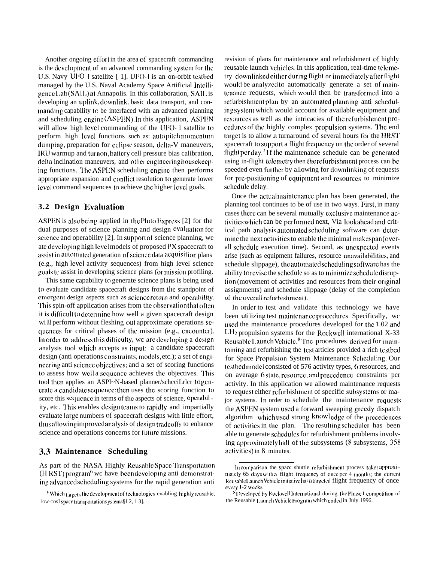Another ongoing effort in the area of spacecraft commanding is the development of an advanced commanding system for the U.S. Navy UFO-1 satellite  $[1]$ . UFO-1 is an on-orbit testbed managed by the U.S. Naval Academy Space Artificial lntclligcncc lab (SAII.) at Annapolis. In this collaboration, SAII, is developing an uplink, downlink, basic data transport, and conmanding capability to be interfaced with an advanced planning and scheduling engine  $(AS$  PEN $)$ . In this application, ASPEN will allow high level commanding of the UFO-1 satellite to perform high level functions such as: autopitch momentum dumping, preparation for eclipse season, delta-V maneuvers, IRU warmup and turnon, battery cell pressure bias calibration, delta inclination maneuvers, and other engineering housekeeping functions. The ASPEN scheduling engine then performs appropriate expansion and conflict resolution to generate lower level command sequences 10 achieve lhc higher level goals.

### **3.2 Design Evaluation**

ASPEN is also being applied in the Pluto Express [2] for the dual purposes of science planning and design evaluation for science and operability [2]. In support of science planning, we ate developing high level models of proposed PX spacecraft to assist in automated generation of science data acquisition plans (e.g., high level activity sequences) from high level science goals to assist in developing science plans for mission profiling.

This same capability 10 generate science plans is being used to evaluate candidate spacecraft designs from the standpoint of emergent design aspects such as science return and operability. This spin-off application arises from the observation that often it is difficult to determine how well a given spacecraft design wi II perform without fleshing out approximate operations sequences for critical phases of the mission (e.g., encounter). In order to address this difficulty, we are developing a design analysis tool which accepts as input: a candidate spacecraft design (anti operations constraints, models, etc.); a set of enginccring anti scicncc objcctivcs; and a set of scoring functions to assess how well a sequence achieves the objectives. This tool then applies an ASPI~N-based planner/schcciLrlcr to generate a candidate sequence; then uses the scoring function to score this sequence in terms of the aspects of science, operabil ity, etc. This enables design teams to rapidly and impartially evaluate large numbers of spacecraft designs with little effort, thus allowing improved analysis of design tradeoffs to enhance science and operations concerns for future missions.

### **3.3 Maintenance Scheduling**

As part of the NASA Highly Reusable Space Transportation (H RST) program<sup>6</sup> wc have been developing anti demonstrating advanced scheduling systems for the rapid generation anti

revision of plans for maintenance and refurbishment of highly reusable launch vchicles. In this application, real-time telemetry downlinked either during flight or immediately after flight would be analyzed to automatically generate a set of maintenance requests, which would then be transformed into a refurbishment plan by an automated planning anti scheduling system which would account for available equipment and resources as well as the intricacies of the refurbishment procedures of the highly complex propulsion systems. The end target is to allow a turnaround of several hours for the HRST spacecraft to support a flight frequency on the order of several flight per day.<sup>7</sup> If the maintenance schedule can be generated using in-flight telemetry then the refurbishment process can be speeded even further by allowing for downlinking of requests for pre-positioning of equipment and resources to minimize schedule delay.

Once the actual maintenance plan has been generated, the planning tool continues to be of use in two ways. First, in many cases there can be several mutually exclusive maintenance activities which can be performed next, Via lookahead and critical path analysis automated scheduling software can determine the next activities to enable the minimal makespan (over-all schcdulc execution time). Second, as uncxpcctcd events arise (such as equipment failures, resource unavailabilitics, and schedule slippage), the automated scheduling software has the ability to revise the schedule so as to minimize schedule disruption (movement of activities and resources from their originai assignments) and schedule slippage (delay of the completion of the overall refurbishment).

In order to test and validate this technology we have been utilizing test maintcnance procedures Specifically, wc used the maintenance procedures developed for (he 1.02 ancl  $LH_2$  propulsion systems for the Rockwell international X-33 Reusable Launch Vehicle.<sup>8</sup> The procedures derived for maintaining and refurbishing the test articles provided a rich testbed for Space Propulsion System Maintenance Scheduling. Our testbed model consisted of 576 activity types, 6 resources, and on average 6 state, resource, and precedence constraints pcr activity. In this application we allowed maintenance requests to request either refurbishment of specific subsystems or major systems. In order to schedule the maintenance requests the ASPEN system used a forward sweeping greedy dispatch algorithm which used strong knowledge of the precedences of activities in the plan. The resulting scheduler has been able to generate schedules for refurbishment problems involving approximately half of the subsystems  $(8 \text{ subsystems}, 358)$ activities) in  $8$  minutes.

 $^{6}$ Which targets the development of technologies enabling highly reusable, 1ow-cosI space transportation systems [12, 13].

 $7$ In comparison, the space shuttle refurbishment process takes approxi mately 65 days with a flight frequency of once per 4 months; the current ReusableLaunch Vehicle initiative has a targeted flight frequency of once every 1-2 weeks.

 $K$ 1 Developed by Rockwell International during the Phase I competition of the Reusable Launch Vehicle Program which ended in July 1996.